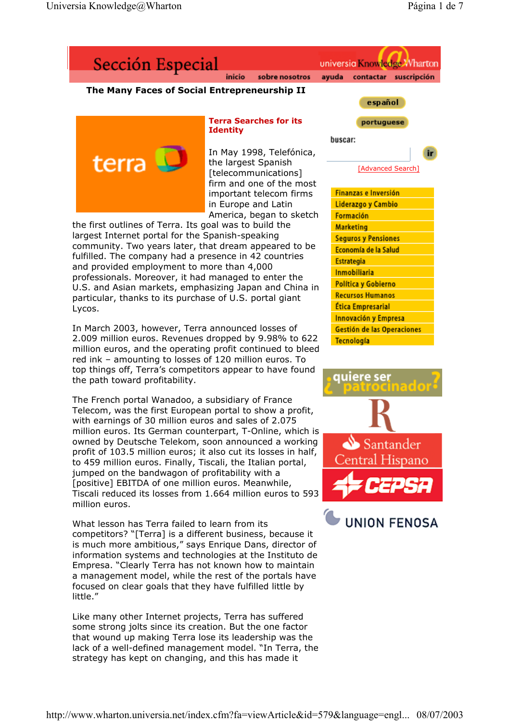

community. Two years later, that dream appeared to be fulfilled. The company had a presence in 42 countries and provided employment to more than 4,000 professionals. Moreover, it had managed to enter the U.S. and Asian markets, emphasizing Japan and China in particular, thanks to its purchase of U.S. portal giant Lycos.

In March 2003, however, Terra announced losses of 2.009 million euros. Revenues dropped by 9.98% to 622 million euros, and the operating profit continued to bleed red ink – amounting to losses of 120 million euros. To top things off, Terra's competitors appear to have found the path toward profitability.

The French portal Wanadoo, a subsidiary of France Telecom, was the first European portal to show a profit, with earnings of 30 million euros and sales of 2.075 million euros. Its German counterpart, T-Online, which is owned by Deutsche Telekom, soon announced a working profit of 103.5 million euros; it also cut its losses in half, to 459 million euros. Finally, Tiscali, the Italian portal, jumped on the bandwagon of profitability with a [positive] EBITDA of one million euros. Meanwhile, Tiscali reduced its losses from 1.664 million euros to 593 million euros.

What lesson has Terra failed to learn from its competitors? "[Terra] is a different business, because it is much more ambitious," says Enrique Dans, director of information systems and technologies at the Instituto de Empresa. "Clearly Terra has not known how to maintain a management model, while the rest of the portals have focused on clear goals that they have fulfilled little by little<sup>"</sup>

Like many other Internet projects, Terra has suffered some strong jolts since its creation. But the one factor that wound up making Terra lose its leadership was the lack of a well-defined management model. "In Terra, the strategy has kept on changing, and this has made it





Tecnología

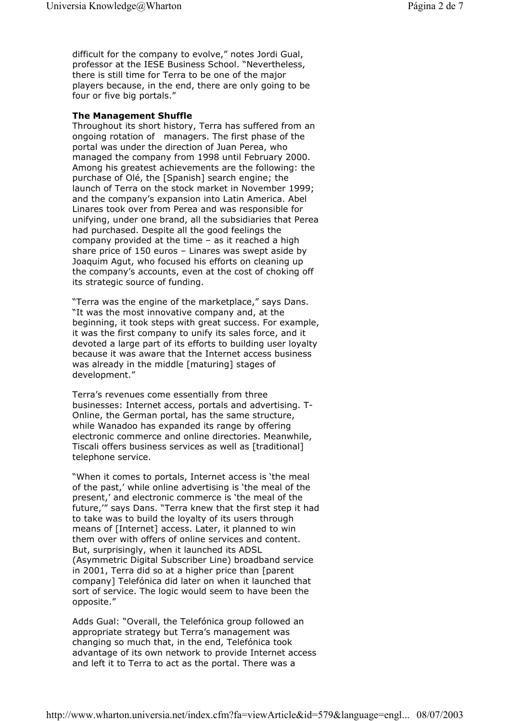difficult for the company to evolve," notes Jordi Gual, professor at the IESE Business School. "Nevertheless, there is still time for Terra to be one of the major players because, in the end, there are only going to be four or five big portals."

## **The Management Shuffle**

Throughout its short history, Terra has suffered from an ongoing rotation of managers. The first phase of the portal was under the direction of Juan Perea, who managed the company from 1998 until February 2000. Among his greatest achievements are the following: the purchase of Olé, the [Spanish] search engine; the launch of Terra on the stock market in November 1999; and the company's expansion into Latin America. Abel Linares took over from Perea and was responsible for unifying, under one brand, all the subsidiaries that Perea had purchased. Despite all the good feelings the company provided at the time – as it reached a high share price of 150 euros – Linares was swept aside by Joaquim Agut, who focused his efforts on cleaning up the company's accounts, even at the cost of choking off its strategic source of funding.

"Terra was the engine of the marketplace," says Dans. "It was the most innovative company and, at the beginning, it took steps with great success. For example, it was the first company to unify its sales force, and it devoted a large part of its efforts to building user loyalty because it was aware that the Internet access business was already in the middle [maturing] stages of development."

Terra's revenues come essentially from three businesses: Internet access, portals and advertising. T-Online, the German portal, has the same structure, while Wanadoo has expanded its range by offering electronic commerce and online directories. Meanwhile, Tiscali offers business services as well as [traditional] telephone service.

"When it comes to portals, Internet access is 'the meal of the past,' while online advertising is 'the meal of the present,' and electronic commerce is 'the meal of the future,'" says Dans. "Terra knew that the first step it had to take was to build the loyalty of its users through means of [Internet] access. Later, it planned to win them over with offers of online services and content. But, surprisingly, when it launched its ADSL (Asymmetric Digital Subscriber Line) broadband service in 2001, Terra did so at a higher price than [parent company] Telefónica did later on when it launched that sort of service. The logic would seem to have been the opposite."

Adds Gual: "Overall, the Telefónica group followed an appropriate strategy but Terra's management was changing so much that, in the end, Telefónica took advantage of its own network to provide Internet access and left it to Terra to act as the portal. There was a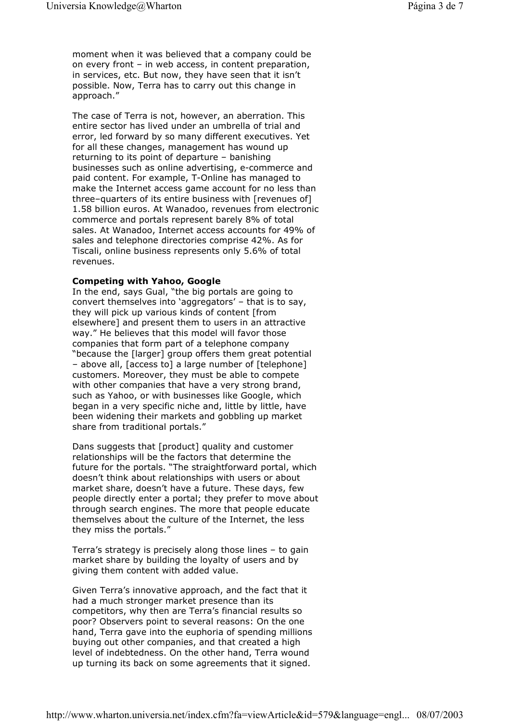moment when it was believed that a company could be on every front – in web access, in content preparation, in services, etc. But now, they have seen that it isn't possible. Now, Terra has to carry out this change in approach."

The case of Terra is not, however, an aberration. This entire sector has lived under an umbrella of trial and error, led forward by so many different executives. Yet for all these changes, management has wound up returning to its point of departure – banishing businesses such as online advertising, e-commerce and paid content. For example, T-Online has managed to make the Internet access game account for no less than three–quarters of its entire business with [revenues of] 1.58 billion euros. At Wanadoo, revenues from electronic commerce and portals represent barely 8% of total sales. At Wanadoo, Internet access accounts for 49% of sales and telephone directories comprise 42%. As for Tiscali, online business represents only 5.6% of total revenues.

#### **Competing with Yahoo, Google**

In the end, says Gual, "the big portals are going to convert themselves into 'aggregators' – that is to say, they will pick up various kinds of content [from elsewhere] and present them to users in an attractive way." He believes that this model will favor those companies that form part of a telephone company "because the [larger] group offers them great potential – above all, [access to] a large number of [telephone] customers. Moreover, they must be able to compete with other companies that have a very strong brand, such as Yahoo, or with businesses like Google, which began in a very specific niche and, little by little, have been widening their markets and gobbling up market share from traditional portals."

Dans suggests that [product] quality and customer relationships will be the factors that determine the future for the portals. "The straightforward portal, which doesn't think about relationships with users or about market share, doesn't have a future. These days, few people directly enter a portal; they prefer to move about through search engines. The more that people educate themselves about the culture of the Internet, the less they miss the portals."

Terra's strategy is precisely along those lines – to gain market share by building the loyalty of users and by giving them content with added value.

Given Terra's innovative approach, and the fact that it had a much stronger market presence than its competitors, why then are Terra's financial results so poor? Observers point to several reasons: On the one hand, Terra gave into the euphoria of spending millions buying out other companies, and that created a high level of indebtedness. On the other hand, Terra wound up turning its back on some agreements that it signed.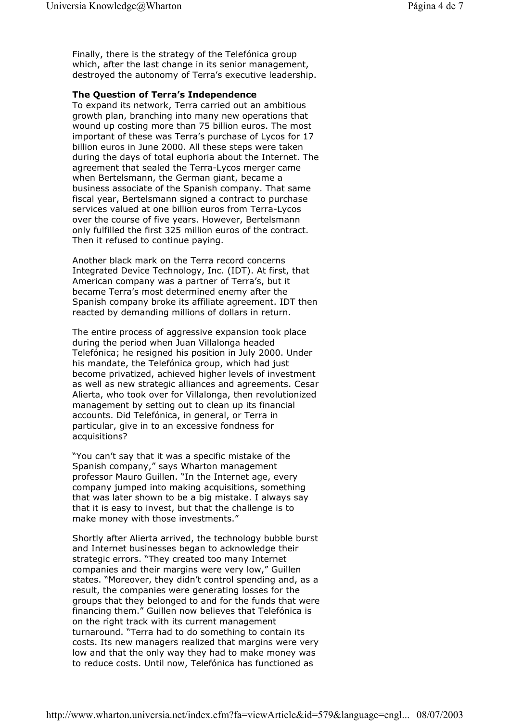Finally, there is the strategy of the Telefónica group which, after the last change in its senior management, destroyed the autonomy of Terra's executive leadership.

### **The Question of Terra's Independence**

To expand its network, Terra carried out an ambitious growth plan, branching into many new operations that wound up costing more than 75 billion euros. The most important of these was Terra's purchase of Lycos for 17 billion euros in June 2000. All these steps were taken during the days of total euphoria about the Internet. The agreement that sealed the Terra-Lycos merger came when Bertelsmann, the German giant, became a business associate of the Spanish company. That same fiscal year, Bertelsmann signed a contract to purchase services valued at one billion euros from Terra-Lycos over the course of five years. However, Bertelsmann only fulfilled the first 325 million euros of the contract. Then it refused to continue paying.

Another black mark on the Terra record concerns Integrated Device Technology, Inc. (IDT). At first, that American company was a partner of Terra's, but it became Terra's most determined enemy after the Spanish company broke its affiliate agreement. IDT then reacted by demanding millions of dollars in return.

The entire process of aggressive expansion took place during the period when Juan Villalonga headed Telefónica; he resigned his position in July 2000. Under his mandate, the Telefónica group, which had just become privatized, achieved higher levels of investment as well as new strategic alliances and agreements. Cesar Alierta, who took over for Villalonga, then revolutionized management by setting out to clean up its financial accounts. Did Telefónica, in general, or Terra in particular, give in to an excessive fondness for acquisitions?

"You can't say that it was a specific mistake of the Spanish company," says Wharton management professor Mauro Guillen. "In the Internet age, every company jumped into making acquisitions, something that was later shown to be a big mistake. I always say that it is easy to invest, but that the challenge is to make money with those investments."

Shortly after Alierta arrived, the technology bubble burst and Internet businesses began to acknowledge their strategic errors. "They created too many Internet companies and their margins were very low," Guillen states. "Moreover, they didn't control spending and, as a result, the companies were generating losses for the groups that they belonged to and for the funds that were financing them." Guillen now believes that Telefónica is on the right track with its current management turnaround. "Terra had to do something to contain its costs. Its new managers realized that margins were very low and that the only way they had to make money was to reduce costs. Until now, Telefónica has functioned as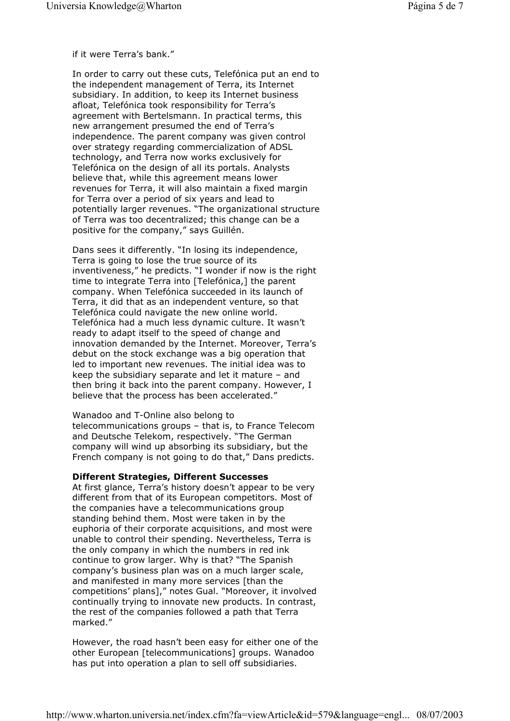if it were Terra's bank."

In order to carry out these cuts, Telefónica put an end to the independent management of Terra, its Internet subsidiary. In addition, to keep its Internet business afloat, Telefónica took responsibility for Terra's agreement with Bertelsmann. In practical terms, this new arrangement presumed the end of Terra's independence. The parent company was given control over strategy regarding commercialization of ADSL technology, and Terra now works exclusively for Telefónica on the design of all its portals. Analysts believe that, while this agreement means lower revenues for Terra, it will also maintain a fixed margin for Terra over a period of six years and lead to potentially larger revenues. "The organizational structure of Terra was too decentralized; this change can be a positive for the company," says Guillén.

Dans sees it differently. "In losing its independence, Terra is going to lose the true source of its inventiveness," he predicts. "I wonder if now is the right time to integrate Terra into [Telefónica,] the parent company. When Telefónica succeeded in its launch of Terra, it did that as an independent venture, so that Telefónica could navigate the new online world. Telefónica had a much less dynamic culture. It wasn't ready to adapt itself to the speed of change and innovation demanded by the Internet. Moreover, Terra's debut on the stock exchange was a big operation that led to important new revenues. The initial idea was to keep the subsidiary separate and let it mature – and then bring it back into the parent company. However, I believe that the process has been accelerated."

Wanadoo and T-Online also belong to telecommunications groups – that is, to France Telecom and Deutsche Telekom, respectively. "The German company will wind up absorbing its subsidiary, but the French company is not going to do that," Dans predicts.

# **Different Strategies, Different Successes**

At first glance, Terra's history doesn't appear to be very different from that of its European competitors. Most of the companies have a telecommunications group standing behind them. Most were taken in by the euphoria of their corporate acquisitions, and most were unable to control their spending. Nevertheless, Terra is the only company in which the numbers in red ink continue to grow larger. Why is that? "The Spanish company's business plan was on a much larger scale, and manifested in many more services [than the competitions' plans]," notes Gual. "Moreover, it involved continually trying to innovate new products. In contrast, the rest of the companies followed a path that Terra marked."

However, the road hasn't been easy for either one of the other European [telecommunications] groups. Wanadoo has put into operation a plan to sell off subsidiaries.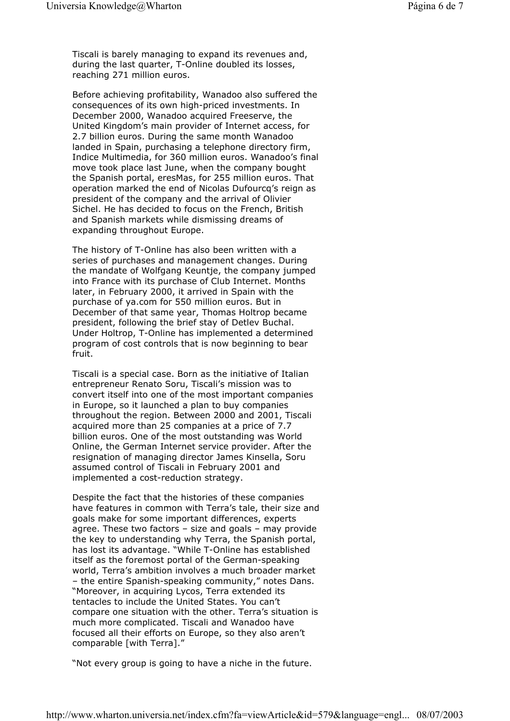Tiscali is barely managing to expand its revenues and, during the last quarter, T-Online doubled its losses, reaching 271 million euros.

Before achieving profitability, Wanadoo also suffered the consequences of its own high-priced investments. In December 2000, Wanadoo acquired Freeserve, the United Kingdom's main provider of Internet access, for 2.7 billion euros. During the same month Wanadoo landed in Spain, purchasing a telephone directory firm, Indice Multimedia, for 360 million euros. Wanadoo's final move took place last June, when the company bought the Spanish portal, eresMas, for 255 million euros. That operation marked the end of Nicolas Dufourcq's reign as president of the company and the arrival of Olivier Sichel. He has decided to focus on the French, British and Spanish markets while dismissing dreams of expanding throughout Europe.

The history of T-Online has also been written with a series of purchases and management changes. During the mandate of Wolfgang Keuntje, the company jumped into France with its purchase of Club Internet. Months later, in February 2000, it arrived in Spain with the purchase of ya.com for 550 million euros. But in December of that same year, Thomas Holtrop became president, following the brief stay of Detlev Buchal. Under Holtrop, T-Online has implemented a determined program of cost controls that is now beginning to bear fruit.

Tiscali is a special case. Born as the initiative of Italian entrepreneur Renato Soru, Tiscali's mission was to convert itself into one of the most important companies in Europe, so it launched a plan to buy companies throughout the region. Between 2000 and 2001, Tiscali acquired more than 25 companies at a price of 7.7 billion euros. One of the most outstanding was World Online, the German Internet service provider. After the resignation of managing director James Kinsella, Soru assumed control of Tiscali in February 2001 and implemented a cost-reduction strategy.

Despite the fact that the histories of these companies have features in common with Terra's tale, their size and goals make for some important differences, experts agree. These two factors – size and goals – may provide the key to understanding why Terra, the Spanish portal, has lost its advantage. "While T-Online has established itself as the foremost portal of the German-speaking world, Terra's ambition involves a much broader market – the entire Spanish-speaking community," notes Dans. "Moreover, in acquiring Lycos, Terra extended its tentacles to include the United States. You can't compare one situation with the other. Terra's situation is much more complicated. Tiscali and Wanadoo have focused all their efforts on Europe, so they also aren't comparable [with Terra]."

"Not every group is going to have a niche in the future.